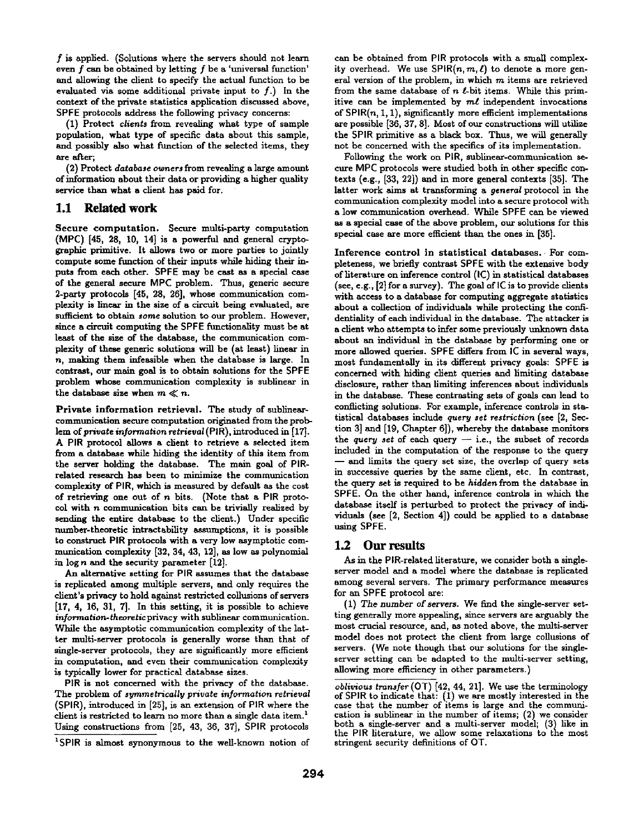f is applied. (Solutions where the servers should not learn even  $f$  can be obtained by letting  $f$  be a 'universal function' and allowing the client to specify the actual function to be evaluated via some additional private input to  $f$ .) In the context of the private statistics application discussed above, SPFE protocols address the following privacy concerns:

(1) Protect *clients* from revealing what type of sample population, what type of specific data about this sample, and possibly also what function of the selected items, they are after;

(2) Protect *database owners* from revealing a large amount of information about their data or providing a higher quality service than what a client has paid for.

## **1.1 Related work**

Secure computation. Secure multi-party computation (MPC) [45, 28, 10, 14] is a powerful and general cryptographic primitive. It allows two or more parties to jointly compute some function of their inputs while hiding their inputs from each other. SPFE may be cast as a special case of the general secure MPC problem. Thus, generic secure 2-party protocols [45, 28, 26], whose communication complexity is linear in the size of a circuit being evaluated, are sufficient to obtain *some* solution to our problem. However, since a circuit computing the SPFE functionality must be at least of the size of the database, the communication complexity of these generic solutions will be (at least) linear in n, making them infeasible when the database is large. In contrast, our main goal is to obtain solutions for the SPFE problem whose communication complexity is sublinear in the database size when  $m \ll n$ .

Private information retrieval. The study of sublinearcommunication secure computation originated from the problem of private *information retrieval* (PIR), introduced in [17]. A PIR protocol allows a client to retrieve a selected item from a database while hiding the identity of this item from the server holding the database. The main goal of PIRrelated research has been to minimize the communication complexity of P|R, which is measured by default as the cost of retrieving one out of  $n$  bits. (Note that a PIR protocol with n communication bits can be trivially realized by sending the entire database to the client.) Under specific number-theoretic intractability assumptions, it is possible **to** construct PIR protocols with a very low asymptotic communication complexity [32, 34, 43, 12], as low as polynomial in log n and the security parameter [12].

An alternative setting for PIR assumes that the database is replicated among multiple servers, and only requires the client's privacy to hold against restricted collusions of servers [17, 4, 16, 31, 7]. In this setting, it is possible to achieve *information-theoretic* privacy with sublinear communication. While the asymptotic communication complexity of the latter multi-server protocols is generally worse than that of single-server protocols, they are significantly more efficient in computation, and even their communication complexity is typically lower for practical database sizes.

PiR is not concerned with the privacy of the database. The problem of *symmetrically private information retrieval*  (SPIR), introduced in [25], is an extension of PIR where the client is restricted to learn no more than a single data item.<sup>1</sup> Using constructions from [25, 43, 36, 37], SPIR protocols

can be obtained from PIR protocols with a small complexity overhead. We use  $SPIR(n, m, \ell)$  to denote a more general version of the problem, in which m items are retrieved from the same database of  $n \ell$ -bit items. While this primitive can be implemented by  $m\ell$  independent invocations of  $SPIR(n, 1, 1)$ , significantly more efficient implementations are possible [36, 37, 8]. Most of our constructions will utilize the SPIR primitive as a black box. Thus, we will generally not be concerned with the specifics of its implementation.

Following the work on PIR, sublinear-communication secure MPC protocols were studied both in other specific contexts (e.g., [33, 22]) and in more general contexts [35]. The latter work aims at transforming a *general* protocol in the communication complexity model into a secure protocol with a low communication overhead. While SPFE can be viewed as a special case of the above problem, our solutions for this special case are more efficient than the ones in [35].

Inference control in statistical databases. For completeness, we briefly contrast SPFE with the extensive body of literature on inference control (IC) in statistical databases (see, e.g.,  $[2]$  for a survey). The goal of  $[C]$  is to provide clients with access to a database for computing aggregate statistics about a collection of individuals while protecting the confidentiality of each individual in the database. The attacker is a client who attempts to infer some previously unknown data about an individual in the database by performing one or more allowed queries. SPFE differs from IC in several ways, most fundamentally in its different privacy goals: SPFE is concerned with hiding client queries and limiting database disclosure, rather than limiting inferences about individuals in the database. These contrasting sets of goals can lead to conflicting solutions. For example, inference controls in statistical databases include *query set restriction* (see [2, Section 3] and [19, Chapter 6]), whereby the database monitors the *query set* of each query  $-$  i.e., the subset of records included in the computation of the response to the query - and limits the query set size, the overlap of query sets in successive queries by the same client, etc. In contrast, the query set is required to be *hidden* from the database in SPFE. On the other hand, inference controls in which the database itself is perturbed to protect the privacy of individuals (see [2, Section 4]) could be applied to a database using SPFE.

# **1.2 Our results**

As in the PlR-related literature, we consider both a singleserver model and a model where the database is replicated among several servers. The primary performance measures for an SPFE protocol are:

(1) The number of servers. We find the single-server setting generally more appealing, since servers are arguably the most crucial resource, and, as noted above, the multi-server model does not protect the client from large collusions of servers. (We note though that our solutions for the singleserver setting can be adapted to the multi-server setting, allowing more efficiency in other parameters.)

<sup>1</sup>SPIR is almost synonymous to the well-known notion of

*oblivious transfer* (OT) [42, 44, 21]. We use the terminology of SPIR to indicate that: (1) we are mostly interested in the case that the number of items is large and the communication is sublinear in the number of items; (2) we consider both a single-server and a multi-server model; (3) like in the PIR literature, we allow some relaxations to the most stringent security definitions of OT.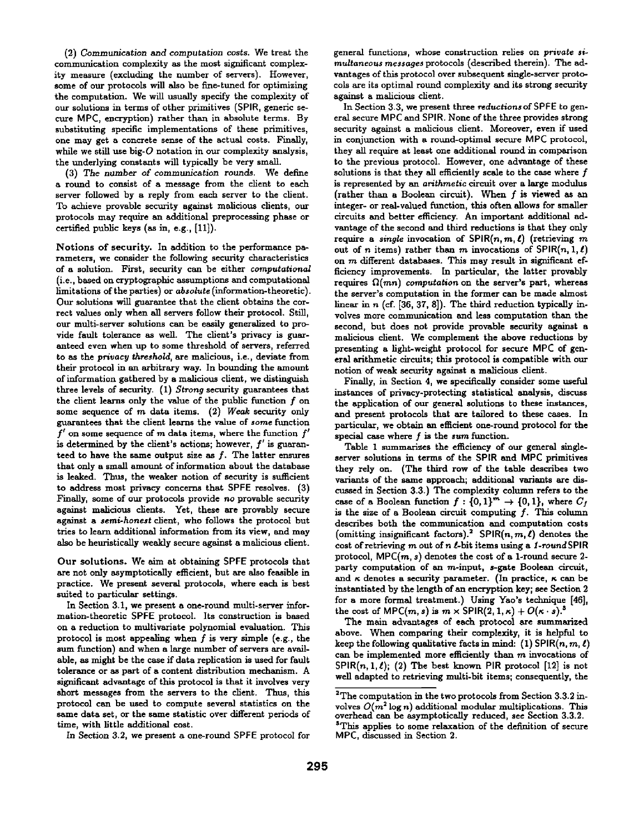(2) *Communication and computation costs.* We treat the communication complexity as the most significant complexity measure (excluding the number of servers). However, some of our protocols will also be fine-tuned for optimizing the computation. We will usually specify the complexity of our solutions in terms of other primitives (SPIR, generic secure MPC, encryption) rather than in absolute terms. By substituting specific implementations of these primitives, one may get a concrete sense of the actual costs. Finally, while we still use big- $O$  notation in our complexity analysis, the underlying constants will typically be very small.

(3) The number of *communication* rounds. We define a round to consist of a message from the client to each server followed by a reply from each server to the client. To achieve provable security against malicious clients, our protocols may require an additional preprocessing phase or certified public keys (as in, e.g., [11]).

Notions of security. In addition to the performance parameters, we consider the following security characteristics of a solution. First, security can be either *computational*  (i.e., based on cryptographic assumptions and computational limitations of the parties) or *absolute* (information-theoretic). Our solutions will guarantee that the client obtains the correct values only when all servers follow their protocol. Still, our multi-server solutions can be easily generalized to provide fault tolerance as well. The client's privacy is guaranteed even when up to some threshold of servers, referred to as the *privacy threshold, are* malicious, i.e., deviate from their protocol in an arbitrary way. In bounding the amount of information gathered by a malicious client, we distinguish three levels of security. (1) *Strong* security guarantees that the client learns only the value of the public function  $f$  on some sequence of m data items. (2) *Weak* security only guarantees that the client learns the value of *some* function  $f'$  on some sequence of  $m$  data items, where the function  $f'$ is determined by the client's actions; however,  $f'$  is guaranteed to have the same output size as  $f$ . The latter ensures that only a small amount of information about the database is leaked. Thus, the weaker notion of security is sufficient to address most privacy concerns that SPFE resolves. (3) Finally, some of our protocols provide *no* provable security against malicious clients. Yet, these are provably secure against a *semi-honest* client, who follows the protocol but tries to learn additional information from its view, and may also be heuristically weakly secure against a malicious client.

Our solutions. We aim at obtaining SPFE protocols that are not only asymptotically efficient, but are also feasible in practice. We present several protocols, where each is best suited to particular settings.

In Section 3.1, we present a one-round multi-server information-theoretic SPFE protocol. Its construction is based on a reduction to multivariate polynomial evaluation. This protocol is most appealing when f is very simple (e.g., the sum function) and when a large number of servers are available, as might be the case if data replication is used for fault tolerance or as part of a content distribution mechanism. A significant advantage of this protocol is that it involves very short messages from the servers to the client. Thus, this protocol can be used to compute several statistics on the same data set, or the same statistic over different periods of time, with little additional cost.

In Section 3.2, we present a one-round SPFE protocol for

general functions, whose construction relies on *private simultaneous messages* protocols (described therein). The advantages of this protocol over subsequent single-server protocols are its optimal round complexity and its strong security against a malicious client.

In Section 3.3, we present three *reductions* of SPFE to general secure MPC and SPIR. None of the three provides strong security against a malicious client. Moreover, even if used in conjunction with a round-optimal secure MPC protocol, they all require at least one additional round in comparison to the previous protocol. However, one advantage of these solutions is that they all efficiently scale to the case where  $f$ is represented by an *arithmetic* circuit over a large modulus (rather than a Boolean circuit). When f is viewed as an integer- or real-valued function, this often allows for smaller circuits and better efficiency. An important additional advantage of the second and third reductions is that they only require a *single* invocation of  $SPIR(n, m, l)$  (retrieving m out of n items) rather than m invocations of SPIR $(n, 1, \ell)$ on  $m$  different databases. This may result in significant efficiency improvements. In particular, the latter provably requires  $\Omega(mn)$  *computation* on the server's part, whereas the server's computation in the former can be made almost linear in  $n$  (cf. [36, 37, 8]). The third reduction typically involves more communication and less computation than the second, but does not provide provable security against a malicious client. We complement the above reductions by presenting a light-weight protocol for secure MPC of general arithmetic circuits; this protocol is compatible with our notion of weak security against a malicious client.

Finally, in Section 4, we specifically consider some useful instances of privacy-protecting statistical analysis, discuss the application of our general solutions to these instances, and present protocols that are tailored to these cases. In particular, we obtain an efficient one-round protocol for the special case where f is the *sum* function.

Table 1 summarizes the efficiency of our general singleserver solutions in terms of the SPIR and MPC primitives they rely on. (The third row of the table describes two variants of the same approach; additional variants are discussed in Section 3.3.) The complexity column refers to the case of a Boolean function  $f: \{0, 1\}^m \rightarrow \{0, 1\}$ , where  $C_f$ is the size of a Boolean circuit computing  $f$ . This column describes both the communication and computation costs (omitting insignificant factors).<sup>2</sup> SPIR( $n, m, \ell$ ) denotes the cost of retrieving m out of n *l*-bit items using a *1-roundSPIR* protocol, MPC $(m, s)$  denotes the cost of a 1-round secure 2party computation of an m-input, s-gate Boolean circuit, and  $\kappa$  denotes a security parameter. (In practice,  $\kappa$  can be instantiated by the length of an encryption key; see Section 2 for a more formal treatment.) Using Yao's technique [46], the cost of MPC(m, s) is  $m \times$  SPIR(2, 1,  $\kappa$ ) +  $O(\kappa \cdot s)$ .

The main advantages of each protocol are summarized above. When comparing their complexity, it is helpful to keep the following qualitative facts in mind: (1) SPIR(n, m,  $\ell$ ) can be implemented more efficiently than m invocations of  $SPIR(n, 1, \ell)$ ; (2) The best known PIR protocol [12] is not well adapted to retrieving multi-bit items; consequently, the

<sup>&</sup>lt;sup>2</sup>The computation in the two protocols from Section 3.3.2 in-<br>volves  $O(m^2 \log n)$  additional modular multiplications. This overhead can be asymptotically reduced, see Section 3.3.2.

<sup>&</sup>lt;sup>3</sup>This applies to some relaxation of the definition of secure MPC, discussed in Section 2.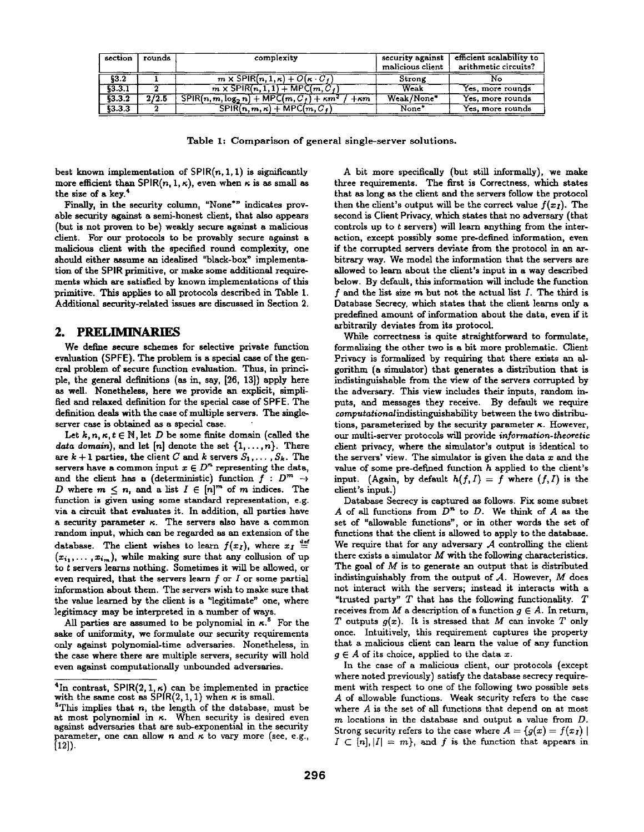| section             | rounds | complexity                                                          | security against<br>malicious client | efficient scalability to<br>arithmetic circuits? |
|---------------------|--------|---------------------------------------------------------------------|--------------------------------------|--------------------------------------------------|
| \$3.2\$             |        | $\overline{m \times \text{SPIR}(n,1,\kappa) + O(\kappa \cdot C_f)}$ | Strong                               |                                                  |
| \$3.3.1             |        | $m \times$ SPIR $(n, 1, 1)$ + MPC $(m, C1)$                         | Weak                                 | Yes, more rounds                                 |
| \$3.3.2             | 2/2.5  | $SPIR(n, m, \log_2 n) + MPC(m, C_f) + \kappa m^2$<br>$+ \kappa m$   | Weak/None*                           | Yes, more rounds                                 |
| $$3.3.\overline{3}$ |        | $SPIR(n, m, \kappa) + MPC(m, C_{\ell})$                             | None*                                | Yes, more rounds                                 |

Table 1: Comparison of general single-server solutions.

best known implementation of  $SPIR(n, 1, 1)$  is significantly more efficient than  $SPIR(n, 1, \kappa)$ , even when  $\kappa$  is as small as the size of a key.<sup>4</sup>

Finally, in the security column, "None\*" indicates provable security against a semi-honest client, that also appears (but is not proven to be) weakly secure against a malicious client. For our protocols to be provably secure against a malicious client with the specified round complexity, one should either assume an idealized "black-box" implementation of the SPIR primitive, or make some additional requirements which are satisfied by known implementations of this primitive. This applies to all protocols described in Table 1. Additional security-related issues are discussed in Section 2.

## 2. PRELIMINARIES

We define secure schemes for selective private function evaluation (SPFE). The problem is a special case of the general problem of secure function evaluation. Thus, in principle, the general definitions (as in, say, [26, 13]) apply here as well. Nonetheless, here we provide an explicit, simplified and relaxed definition for the special case of SPFE. The definition deals with the case of multiple servers. The singleserver case is obtained as a special case.

Let  $k, n, \kappa, t \in \mathbb{N}$ , let D be some finite domain (called the *data domain*), and let [n] denote the set  $\{1, \ldots, n\}$ . There are  $k + 1$  parties, the client C and k servers  $S_1, \ldots, S_k$ . The servers have a common input  $x \in D^n$  representing the data, and the client has a (deterministic) function  $f : D^m \rightarrow$ D where  $m \leq n$ , and a list  $I \in [n]^m$  of m indices. The function is given using some standard representation, e.g. via a circuit that evaluates it. In addition, all parties have a security parameter  $\kappa$ . The servers also have a common random input, which can be regarded as an extension of the database. The client wishes to learn  $f(x_I)$ , where  $x_I \stackrel{\text{def}}{=}$  $(x_{i_1},\ldots,x_{i_m})$ , while making sure that any collusion of up to t servers learns nothing. Sometimes it will be allowed, or even required, that the servers learn  $f$  or  $I$  or some partial information about them. The servers wish to make sure that the value learned by the client is a "legitimate" one, where legitimacy may be interpreted in a number of ways.

All parties are assumed to be polynomial in  $\kappa$ <sup>5</sup>. For the sake of uniformity, we formulate our security requirements only against polynomial-time adversaries. Nonetheless, in the case where there are multiple servers, security will hold even against computationally unbounded adversaries.

A bit more specifically (but still informally), we make three requirements. The first is Correctness, which states that as long as the client and the servers follow the protocol then the client's output will be the correct value  $f(x<sub>I</sub>)$ . The second is Client Privacy, which states that no adversary (that controls up to t servers) will learn anything from the interaction, except possibly some pre-defined information, even if the corrupted servers deviate from the protocol in an arbitrary way. We model the information that the servers are allowed to learn about the client's input in a way described below. By default, this information will include the function f and the list size  $m$  but not the actual list  $I$ . The third is Database Secrecy, which states that the client learns only a predefmed amount of information about the data, even if it arbitrarily deviates from its protocol.

While correctness is quite straightforward to formulate, formalizing the other two is a bit more problematic. Client Privacy is formalized by requiring that there exists an algorithm (a simulator) that generates a distribution that is indistinguishable from the view of the servers corrupted by the adversary. This view includes their inputs, random inputs, and messages they receive. By default we require *computationalindisting~dshability* between the two distributions, parameterized by the security parameter  $\kappa$ . However, our multi-server protocols will provide *information-theoretic*  client privacy, where the simulator's output is identical to the servers' view. The simulator is given the data  $x$  and the value of some pre-defmed function h applied to the client's input. (Again, by default  $h(f, I) = f$  where  $(f, I)$  is the client's input.)

Database Secrecy is captured as follows. Fix some subset A of all functions from  $D<sup>n</sup>$  to D. We think of A as the set of "allowable functions", or in other words the set of functions that the client is allowed to apply to the database. We require that for any adversary  $A$  controlling the client there exists a simulator  $M$  with the following characteristics. The goal of  $M$  is to generate an output that is distributed indistinguishably from the output of  $A$ . However,  $M$  does not interact with the servers; instead it interacts with a "trusted party"  $T$  that has the following functionality.  $T$ receives from M a description of a function  $q \in A$ . In return, T outputs  $g(x)$ . It is stressed that M can invoke T only once. Intuitively, this requirement captures the property that a malicious client can learn the value of any function  $g \in A$  of its choice, applied to the data x.

In the case of a malicious client, our protocols (except where noted previously) satisfy the database secrecy requirement with respect to one of the following two possible sets A of allowable functions. Weak security refers to the case where  $A$  is the set of all functions that depend on at most  $m$  locations in the database and output a value from  $D$ . Strong security refers to the case where  $A = \{g(x) = f(x_I) \mid$  $I \subset [n], |I| = m$ , and f is the function that appears in

<sup>&</sup>lt;sup>4</sup>In contrast, SPIR $(2,1,\kappa)$  can be implemented in practice with the same cost as  $SPIR(2, 1, 1)$  when  $\kappa$  is small.

 ${}^5$ This implies that n, the length of the database, must be at most polynomial in  $\kappa$ . When security is desired even against adversaries that are sub-exponential in the security parameter, one can allow n and  $\kappa$  to vary more (see, e.g., [12]).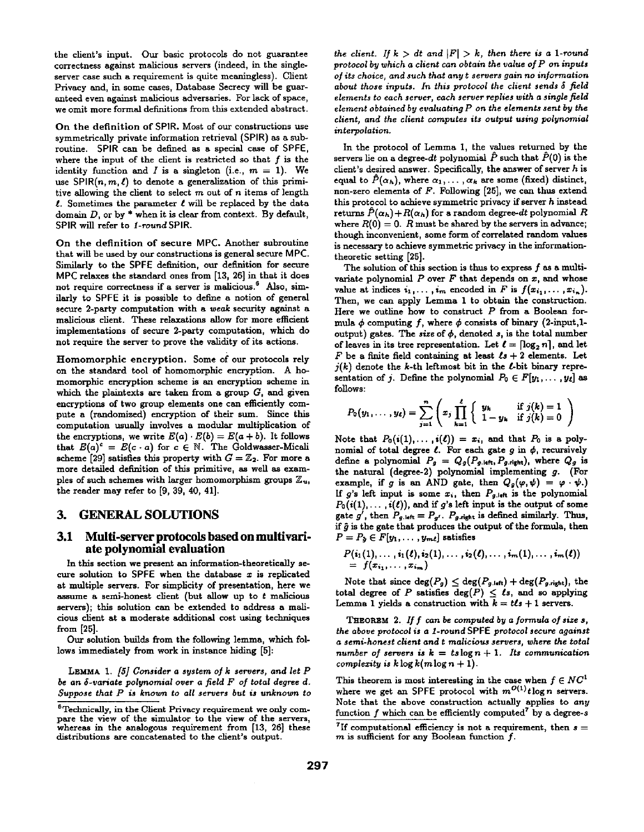the client's input. Our basic protocols do not guarantee correctness against malicious servers (indeed, in the singleserver case such a requirement is quite meaningless). Client Privacy and, in some cases, Database Secrecy will be guaranteed even against malicious adversaries. For lack of space, we omit more formal definitions from this extended abstract.

On the definition of SPIR. Most of our constructions use symmetrically private information retrieval (SPIR) as a subroutine. SPIR can be defined as a special case of SPFE, where the input of the client is restricted so that  $f$  is the identity function and I is a singleton (i.e.,  $m = 1$ ). We *use SPIR(n,m,£)* to denote a generalization of this primitive allowing the client to select  $m$  out of  $n$  items of length  $\ell$ . Sometimes the parameter  $\ell$  will be replaced by the data domain  $D$ , or by  $*$  when it is clear from context. By default, SPIR will refer to *1-round* SPIR.

On the definition of secure MPC. Another subroutine that will be used by our constructions is general secure MPC. Similarly to the SPFF defmition, our definition for secure MPC relaxes the standard ones from [13, 26] in that it does not require correctness if a server is malicious.<sup>6</sup> Also, similarly to SPFE it is possible to define a notion of general secure 2-party computation with a *weak* security against a malicious client. These relaxations allow for more efficient implementations of secure 2-party computation, which do not require the server to prove the validity of its actions.

Homomorphic encryption. Some of our protocols rely on the standard tool of homomorphic encryption. A homomorphic encryption scheme is an encryption scheme in which the plaintexts are taken from a group  $G$ , and given encryptions of two group elements one can efficiently compute a (randomized) encryption of their sum. Since this computation usually involves a modular multiplication of the encryptions, we write  $E(a) \cdot E(b) = E(a+b)$ . It follows that  $E(a)^c = E(c \cdot a)$  for  $c \in \mathbb{N}$ . The Goldwasser-Micali scheme [29] satisfies this property with  $G = \mathbb{Z}_2$ . For more a more detailed definition of this primitive, as well as examples of such schemes with larger homomorphism groups  $\mathbb{Z}_u$ , the reader may refer to [9, 39, 40, 41].

## **3. GENERAL SOLUTIONS**

## **3.1 Multi-server protocols based on multivariate polynomial evaluation**

In this section we present an information-theoretically secure solution to SPFE when the database  $x$  is replicated at multiple servers. For simplicity of presentation, here we assume a semi-honest client (but allow up to t malicious servers); this solution can be extended to address a malicious client at a moderate additional cost using techniques from [25].

Our solution builds from the following lemma, which follows immediately from work in instance hiding [5]:

LEMMA 1. *[5] Consider a system of k servers, and let P be an 5-variate polynomial over a field F of total degree d. Suppose that P is known to all servers but is unknown to* 

*the client. If*  $k > dt$  and  $|F| > k$ , then there is a 1-round *protocol by which a client can obtain the value of P on inputs of its choice, and such that any t servers gain no information about those inputs. In this protocol the client sends 6 field elements to each server, each server replies with a single field element obtained by evaluating P on the elements sent by the client, and the client computes its output using polynomial interpolation.* 

In the protocol of Lemma 1, the values returned by the servers lie on a degree-dt polynomial  $\hat{P}$  such that  $\hat{P}(0)$  is the client's desired answer. Specifically, the answer of server  $h$  is equal to  $\bar{P}(\alpha_h)$ , where  $\alpha_1,\ldots,\alpha_k$  are some (fixed) distinct, non-zero elements of F. Following [25], we can thus extend this protocol to achieve symmetric privacy if server h instead returns  $\hat{P}(\alpha_h) + R(\alpha_h)$  for a random degree-dt polynomial R where  $R(0) = 0$ . R must be shared by the servers in advance; though inconvenient, some form of correlated random values is necessary to achieve symmetric privacy in the informationtheoretic setting [25].

The solution of this section is thus to express f as a multivariate polynomial  $P$  over  $F$  that depends on  $x$ , and whose value at indices  $i_1,\ldots, i_m$  encoded in F is  $f(x_{i_1},\ldots, x_{i_n}).$ Then, we can apply Lemma 1 to obtain the construction. Here we outline how to construct  $P$  from a Boolean formula  $\phi$  computing f, where  $\phi$  consists of binary (2-input, 1output) gates. The *size* of  $\phi$ , denoted s, is the total number of leaves in its tree representation. Let  $\ell = \lceil \log_2 n \rceil$ , and let F be a finite field containing at least  $\ell s + 2$  elements. Let  $j(k)$  denote the k-th leftmost bit in the  $\ell$ -bit binary representation of j. Define the polynomial  $P_0 \in F[y_1, \ldots, y_\ell]$  as follows:

$$
P_0(y_1,..., y_\ell) = \sum_{j=1}^n \left(x_j \prod_{k=1}^\ell \left\{\begin{array}{ll} y_k & \text{if } j(k) = 1 \\ 1 - y_k & \text{if } j(k) = 0 \end{array}\right\}\right)
$$

Note that  $P_0(i(1),...,i(\ell)) = x_i$ , and that  $P_0$  is a polynomial of total degree  $\ell$ . For each gate  $g$  in  $\phi$ , recursively define a polynomial  $P_g = Q_g(P_{g,\text{left}}, P_{g,\text{right}})$ , where  $Q_g$  is the natural (degree-2) polynomial implementing g. (For example, if g is an AND gate, then  $Q_g(\varphi, \psi) = \varphi \cdot \psi$ .) If g's left input is some  $x_i$ , then  $P_{g, \text{left}}$  is the polynomial  $P_0(i(1),...,i(\ell))$ , and if g's left input is the output of some gate g', then  $P_{g,\text{left}} = P_{g'}$ .  $P_{g,\text{right}}$  is defined similarly. Thus, if  $\hat{g}$  is the gate that produces the output of the formula, then  $P = P_3 \in F[y_1, \ldots, y_{m\ell}]$  satisfies

$$
P(i_1(1),...,i_1(\ell),i_2(1),...,i_2(\ell),...,i_m(1),...,i_m(\ell))
$$
  
=  $f(x_{i_1},...,x_{i_m})$ 

Note that since  $\deg(P_g) \leq \deg(P_{g,\text{left}}) + \deg(P_{g,\text{right}})$ , the total degree of P satisfies deg(P)  $\leq \ell s$ , and so applying Lemma 1 yields a construction with  $k = t\ell s + 1$  servers.

TItBORBM 2. *If f can be computed by a formula of size s, the above protocol is a 1-round* SPFE *protocol secure against a semi-honest chent and t mahcious servers, where the total number of servers is*  $k = t$ s  $\log n + 1$ . *Its communication complexity is k*  $\log k(m \log n + 1)$ .

This theorem is most interesting in the case when  $f \in NC^1$ where we get an SPFE protocol with  $m^{O(1)}t\log n$  servers. Note that the above construction actually applies to *any*  function f which can be efficiently computed<sup>7</sup> by a degree-s

<sup>&</sup>lt;sup>6</sup>Technically, in the Client Privacy requirement we only compare the view of the simulator to the view of the servers, whereas in the analogous requirement from [13, 26] these distributions are concatenated to the client's output.

<sup>&</sup>lt;sup>7</sup>If computational efficiency is not a requirement, then  $s =$  $m$  is sufficient for any Boolean function  $f$ .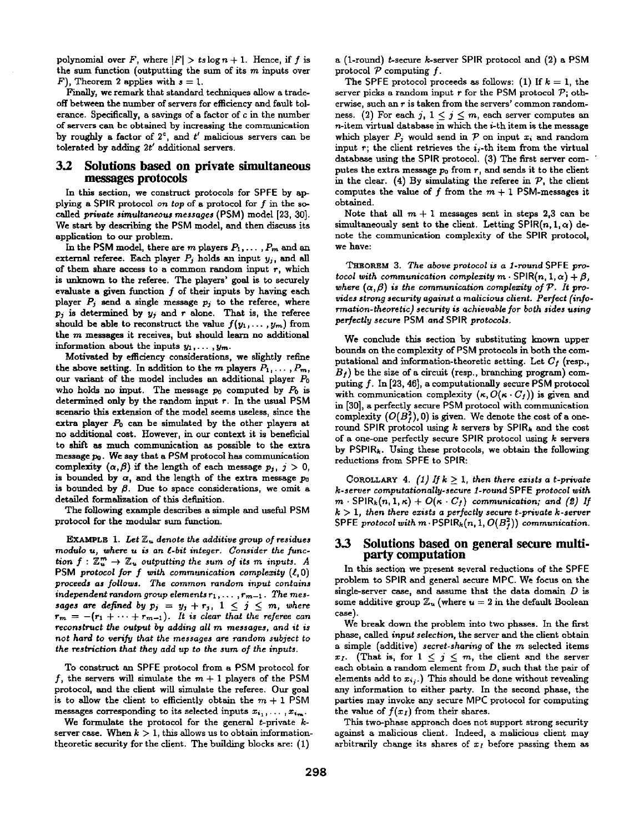polynomial over F, where  $|F| > ts \log n + 1$ . Hence, if f is the sum function (outputting the sum of its  $m$  inputs over F), Theorem 2 applies with  $s = 1$ .

Finally, we remark that standard techniques allow a tradeoff between the number of servers for efficiency and fault tolerance. Specifically, a savings of a factor of c in the number of servers can be obtained by increasing the communication by roughly a factor of  $2^c$ , and  $t'$  malicious servers can be tolerated by adding  $2t'$  additional servers.

#### 3.2 3.2 Solutions based on private simultaneous messages protocols

In this section, we construct protocols for SPFE by applying a SPIR protocol *on top* of a protocol for f in the socalled *private simultaneous messages* (PSM) model [23, 30]. We start by describing the PSM model, and then discuss **its**  application to our problem.

In the PSM model, there are  $m$  players  $P_1,\ldots,P_m$  and an external referee. Each player  $P_i$  holds an input  $y_i$ , and all of them share access to a common random input  $r$ , which is unknown to the referee. The players' goal is to securely evaluate a given function  $f$  of their inputs by having each player  $P_i$  send a single message  $p_i$  to the referee, where  $p_j$  is determined by  $y_j$  and r alone. That is, the referee should be able to reconstruct the value  $f(y_1, \ldots, y_m)$  from the m messages it receives, but should learn no additional information about the inputs  $y_1, \ldots, y_m$ .

Motivated by efficiency considerations, we slightly refine the above setting. In addition to the m players  $P_1, \ldots, P_m$ , our variant of the model includes an additional player  $P_0$ who holds no input. The message  $p_0$  computed by  $P_0$  is determined only by the random input r. In the usual PSM scenario this extension of the model seems useless, since the extra player  $P_0$  can be simulated by the other players at no additional cost. However, in our context it is beneficial to shift as much communication as possible to the extra message po. We say that a PSM protocol has communication complexity  $(\alpha,\beta)$  if the length of each message  $p_j$ ,  $j > 0$ , is bounded by  $\alpha$ , and the length of the extra message  $p_0$ is bounded by  $\beta$ . Due to space considerations, we omit a detailed formalization of this definition.

The following example describes a simple and useful PSM protocol for the modular sum function.

EXAMPLE I. *Let Z, denote the additive group of residues modulo u, where u is an l-bit integer. Consider the function f :*  $\mathbb{Z}_u^m \to \mathbb{Z}_u$  *outputting the sum of its m inputs. A* PSM protocol for  $f$  with communication complexity  $(\ell, 0)$ *proceeds as follows. The common random input contains*  independent random group elements  $r_1, \ldots, r_{m-1}$ . The mes*s* are defined by  $p_j = y_j + r_j$ ,  $1 \leq j \leq m$ , where  $r = -(r_1 + \cdots + r_{m-1})$ . It is clear that the referee can *reconstruct the output by adding all m messages, and it is not hard to verify that the messages are random subject to the restriction that they add up to the sum of the inputs.* 

To construct an SPFE protocol from a PSM protocol for f, the servers will simulate the  $m+1$  players of the PSM protocol, and the client will simulate the referee. Our goal is to allow the client to efficiently obtain the  $m + 1$  PSM messages corresponding to its selected inputs  $x_{i_1}, \ldots, x_{i_m}$ .

We formulate the protocol for the general  $t$ -private  $k$ server case. When  $k > 1$ , this allows us to obtain informationtheoretic security for the client. The building blocks are: (1)

a (1-round) t-secure k-server SPIR protocol and (2) a PSM protocol  $P$  computing  $f$ .

The SPFE protocol proceeds as follows: (1) If  $k = 1$ , the server picks a random input  $r$  for the PSM protocol  $P$ ; otherwise, such an  $r$  is taken from the servers' common randomness. (2) For each j,  $1 \leq j \leq m$ , each server computes an n-item virtual database in which the i-th item is the message which player  $P_j$  would send in  $\mathcal P$  on input  $x_i$  and random input r; the client retrieves the  $i_j$ -th item from the virtual database using the SPIR protocol. (3) The first server computes the extra message  $p_0$  from r, and sends it to the client in the clear. (4) By simulating the referee in  $P$ , the client computes the value of f from the  $m + 1$  PSM-messages it obtained.

Note that all  $m + 1$  messages sent in steps 2,3 can be simultaneously sent to the client. Letting SPIR( $n, 1, \alpha$ ) denote the communication complexity of the SPIR protocol, we have:

THEOREM 3. *The above protocol is a 1-round* SPFE *protocol with communication complexity m*  $\cdot$  SPIR(n, 1,  $\alpha$ ) +  $\beta$ , where  $(\alpha, \beta)$  is the communication complexity of P. It pro*vides strong security against a malicious client. Perfect (information-theoretic) security is achievable for both sides using perfectly secure* PSM *and* SPIR *protocols.* 

We conclude this section by substituting known upper bounds on the complexity of PSM protocols in both the computational and information-theoretic setting. Let  $C_f$  (resp.,  $B_f$ ) be the size of a circuit (resp., branching program) computing f. In [23, 46], a computationally secure PSM protocol with communication complexity  $(\kappa, O(\kappa \cdot C_f))$  is given and in [30], a perfectly secure PSM protocol with communication complexity  $(O(B_f^2), 0)$  is given. We denote the cost of a oneround SPIR protocol using  $k$  servers by SPIR<sub>k</sub> and the cost of a one-one perfectly secure SPIR protocol using k servers by PSPIR<sub>k</sub>. Using these protocols, we obtain the following reductions from SPFE to SPIR:

COROLLARY 4. (1) If  $k \geq 1$ , then there exists a t-private *k-server computationally-secure 1-round* SPFE *protocol with*   $m \cdot \text{SPIR}_k(n, 1, \kappa) + O(\kappa \cdot C_f)$  *communication; and (2) If*  $k > 1$ , then there exists a perfectly secure t-private  $k$ -server SPFE *protocol with*  $m \cdot \text{PSPIR}_k(n, 1, O(B_f^2))$  *communication.* 

#### 3.3 Solutions based on general secure **multiparty computation**

In this section we present several reductions of the SPFE problem to SPIR and general secure MPC. We focus on the single-server case, and assume that the data domain  $D$  is some additive group  $\mathbb{Z}_u$  (where  $u = 2$  in the default Boolean case).

We break down the problem into two phases. In the first phase, called *input selection,* the server and the client obtain a simple (additive) *secret-sharing* of the m selected items  $x_I$ . (That is, for  $1 \leq j \leq m$ , the client and the server each obtain a random element from  $D$ , such that the pair of elements add to  $x_{i_j}$ .) This should be done without revealing any information to either party. In the second phase, the parties may invoke any secure MPC protocol for computing the value of  $f(x_I)$  from their shares.

This two-phase approach does not support strong security against a malicious client. Indeed, a malicious client may arbitrarily change its shares of  $x_I$  before passing them as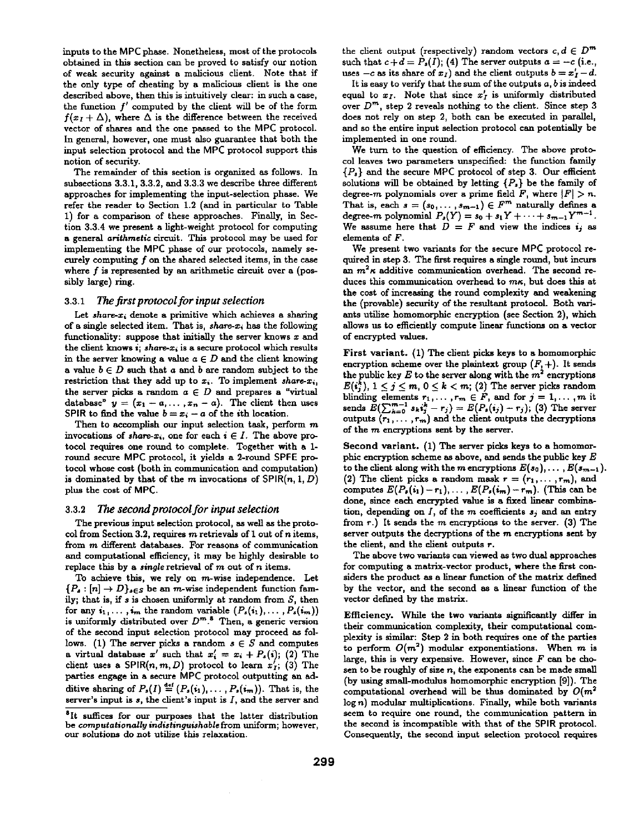inputs to the MPC phase. Nonetheless, most of the protocols obtained in this section can be proved to satisfy our notion of weak security against a malicious client. Note that if the only type of cheating by a malicious client is the one described above, then this is intuitively clear: in such a case, the function  $f'$  computed by the client will be of the form  $f(x_I + \Delta)$ , where  $\Delta$  is the difference between the received vector of shares and the one passed to the MPC protocol. In general, however, one must also guarantee that both the input selection protocol and the MPC protocol support this notion of security.

The remainder of this section is organized as follows. In subsections 3.3.1, 3.3.2, and 3.3.3 we describe three different approaches for implementing the input-selection phase. We refer the reader to Section 1.2 (and in particular to Table 1) for a comparison of these approaches. Finally, in Section 3.3.4 we present a light-weight protocol for computing a general *arithmetic* circuit. This protocol may be used for implementing the MPC phase of our protocols, namely securely computing f on the shared selected items, in the case where  $f$  is represented by an arithmetic circuit over a (possibly large) ring.

#### 3.3.1 *The first protocol for input selection*

Let *share-* $x_i$  denote a primitive which achieves a sharing of a single selected item. That is, *share-x,* has the following functionality: suppose that initially the server knows  $x$  and the client knows  $i$ ; *share-x<sub>i</sub>* is a secure protocol which results in the server knowing a value  $a \in D$  and the client knowing a value  $b \in D$  such that a and b are random subject to the restriction that they add up to  $x_i$ . To implement *share-x<sub>i</sub>*, the server picks a random  $a \in D$  and prepares a "virtual database"  $y = (x_1 - a, \ldots, x_n - a)$ . The client then uses SPIR to find the value  $b = x_i - a$  of the ith location.

Then to accomplish our input selection task, perform  $m$ invocations of *share-x<sub>i</sub>*, one for each  $i \in I$ . The above protocol requires one round to complete. Together with a 1 round secure MPC protocol, it yields a 2-round SPFE protocol whose cost (both in communication and computation) is dominated by that of the *m* invocations of  $SPIR(n, 1, D)$ plus the cost of MPC.

## 3.3.2 *The second protocol for input selection*

The previous input selection protocol, as well as the protocol from Section 3.2, requires  $m$  retrievals of 1 out of  $n$  items, from m different databases. For reasons of communication and computational efficiency, it may be highly desirable to replace this by a *single* retrieval of m out of n items.

To achieve this, we rely on  $m$ -wise independence. Let  ${P<sub>s</sub> : [n] \to D}_{s \in S}$  be an *m*-wise independent function family; that is, if s is chosen uniformly at random from  $S$ , then for any  $i_1,\ldots,i_m$  the random variable  $(P_s(i_1),\ldots,P_s(i_m))$ is uniformly distributed over  $D^{m}$ .<sup>8</sup> Then, a generic version of the second input selection protocol may proceed as follows. (1) The server picks a random  $s \in S$  and computes a virtual database x' such that  $x'_i = x_i + P_s(i)$ ; (2) The client uses a SPIR $(n, m, D)$  protocol to learn  $x'_{I}$ ; (3) The parties engage in a secure MPC protocol outputting an additive sharing of  $P_s(I) \stackrel{\text{def}}{=} (P_s(i_1), \ldots, P_s(i_m))$ . That is, the server's input is  $s$ , the client's input is  $I$ , and the server and the client output (respectively) random vectors  $c, d \in D^m$ such that  $c+d = P<sub>s</sub>(I)$ ; (4) The server outputs  $a = -c$  (i.e., uses  $-c$  as its share of  $x_I$ ) and the client outputs  $b = x'_I - d$ .

It is easy to verify that the sum of the outputs  $a, b$  is indeed equal to  $x_I$ . Note that since  $x_I'$  is uniformly distributed over  $D^m$ , step 2 reveals nothing to the client. Since step 3 does not rely on step 2, both can be executed in parallel, and so the entire input selection protocol can potentially be implemented in one round.

We turn to the question of efficiency. The above protocol leaves two parameters unspecified: the function family  ${P<sub>s</sub>}$  and the secure MPC protocol of step 3. Our efficient solutions will be obtained by letting  $\{P_{s}\}\$  be the family of degree- $m$  polynomials over a prime field F, where  $|F| > n$ . That is, each  $s = (s_0, \ldots, s_n) \in F^m$  naturally defines degree-m polynomial  $P(Y) = s_2 + s_1 Y + \ldots + s_n$ .  $Y^m$ We assume here that  $D = F$  and view the indices  $i_j$  as elements of  $F$ .

We present two variants for the secure MPC protocol required in step 3. The first requires a single round, but incurs an  $m^2\kappa$  additive communication overhead. The second reduces this communication overhead to  $m\kappa$ , but does this at the cost of increasing the round complexity and weakening the (provable) security of the resultant protocol. Both variants utilize homomorphic encryption (see Section 2), which allows us to efficiently compute linear functions on a vector of encrypted values.

**First** variant. (1) The client picks keys to a homomorphic encryption scheme over the plaintext group  $(F, +)$ . It sends the public key E to the server along with the  $m^2$  encryptions  $E(i_j^k), 1 \leq j \leq m, 0 \leq k < m$ ; (2) The server picks random blinding elements r,  $\overline{c}$ ,  $\overline{F}$  and for  $i = 1$ , m sends  $\mathbb{E}(\nabla^{m-1} \cdot \mathbf{s}^k) = \mathbb{E}(P(\mathbf{s}) - \mathbf{s}^k)$ ; (3) The server outputs  $(r_1,\ldots,r_m)$  and the client outputs the decryptions of the  $m$  encryptions sent by the server.

Second variant. (1) The server picks keys to a homomorphic encryption scheme as above, and sends the public key  $\boldsymbol{E}$ to the client along with the m encryptions  $E(s_0), \ldots, E(s_{m-1}).$ (2) The client picks a random mask  $r = (r_1, \ldots, r_m)$ , and computes  $E(P_s(i_1)-r_1),\ldots,E(P_s(i_m)-r_m)$ . (This can be done, since each encrypted value is a fixed linear combination, depending on  $I$ , of the  $m$  coefficients  $s_j$  and an entry from  $r$ .) It sends the  $m$  encryptions to the server. (3) The server outputs the decryptions of the  $m$  encryptions sent by the client, and the client outputs r.

The above two variants can viewed as two dual approaches for computing **a** matrix-vector product, where the first considers the product as a linear function of the matrix defined by the vector, and the second as a linear function of the vector defined by the matrix.

Efficiency. While the two variants significantly differ in their communication complexity, their computational complexity is similar: Step 2 in both requires one of the parties to perform  $O(m^2)$  modular exponentiations. When  $m$  is large, this is very expensive. However, since  $F$  can be chosen to be roughly of size  $n$ , the exponents can be made small (by using small-modulus homomorphic encryption [9]). The computational overhead will be thus dominated by  $O(m^2)$  $log n)$  modular multiplications. Finally, while both variants seem to require one round, the communication pattern in the second is incompatible with that of the SPIR protocol. Consequently, the second input selection protocol requires

<sup>&</sup>lt;sup>8</sup>It suffices for our purposes that the latter distribution be *cornputationallll indistinguishable from* uniform; however, our solutions do not utilize this relaxation.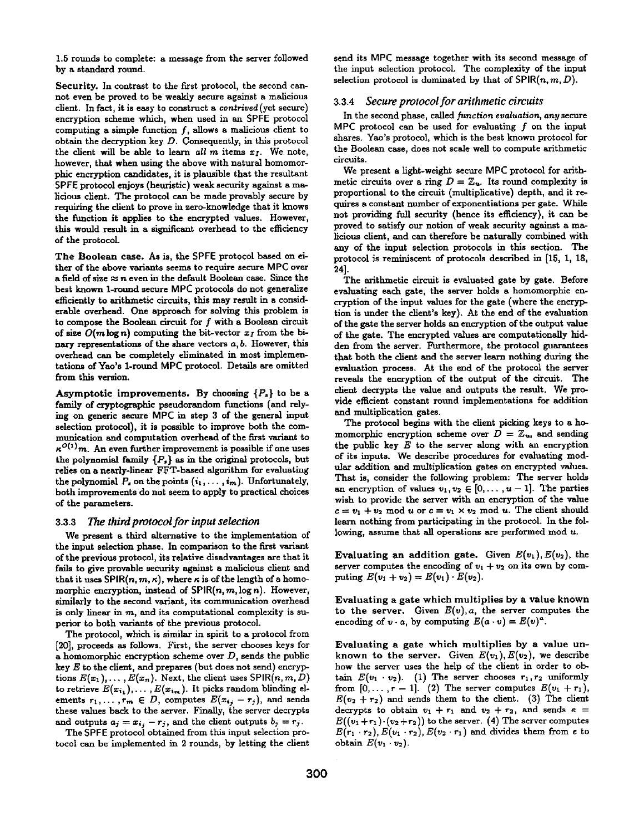1.5 rounds to complete: a message from the server followed by a standard round.

Security. In contrast to the first protocol, the second cannot even be proved to be weakly secure against a malicious client. In fact, it is easy to construct a *contrived* (yet secure) encryption scheme which, when used in an SPFE protocol computing a simple function  $f$ , allows a malicious client to obtain the decryption key  $D$ . Consequently, in this protocol the client will be able to learn  $all m$  items  $x_I$ . We note, however, that when using the above with natural homomorphic encryption candidates, it is plausible that the resultant SPFE protocol enjoys (heuristic) weak security against a malicious client. The protocol can be made provably secure by requiring the client to prove in zero-knowledge that it knows the function it applies to the encrypted values. However, this would result in a significant overhead to the efficiency of the protocol.

**The** Boolean case. As is, the SPFF protocol based on either of the above variants seems to require secure MPC over a field of size  $\approx$  n even in the default Boolean case. Since the best known 1-round secure MPC protocols do not generalize efficiently to arithmetic circuits, this may result in a considerable overhead. One approach for solving this problem is to compose the Boolean circuit for f with a Boolean circuit of size  $O(m \log n)$  computing the bit-vector  $x<sub>I</sub>$  from the binary representations of the share vectors a, b. However, this overhead can be completely eliminated in most implementations of Yao's 1-round MPC protocol. Details are omitted from this version.

Asymptotic improvements. By choosing  ${P<sub>s</sub>}$  to be a family of cryptographic pseudorandom functions (and relying on generic secure MPC in step 3 of the general input selection protocol), it is possible to improve both the communication and computation overhead of the first variant to  $\kappa^{O(1)}$ m. An even further improvement is possible if one uses the polynomial family  ${P<sub>s</sub>}$  as in the original protocols, but relies on a nearly-linear FFT-based algorithm for evaluating the polynomial  $P_s$  on the points  $(i_1, \ldots, i_m)$ . Unfortunately, both improvements do not seem to apply to practical choices of the parameters.

#### 3.3.3 *The third protocol for input selection*

We present a third alternative to the implementation of the input selection phase. In comparison to the first variant of the previous protocol, its relative disadvantages are that it fails to give provable security against a malicious client and that it uses  $SPIR(n, m, \kappa)$ , where  $\kappa$  is of the length of a homomorphic encryption, instead of  $SPIR(n, m, \log n)$ . However, similarly to the second variant, its communication overhead is only linear in  $m$ , and its computational complexity is superior to both variants of the previous protocol.

The protocol, which is similar in spirit to a protocol from [20], proceeds as follows. First, the server chooses keys for a homomorphic encryption scheme over  $D$ , sends the public key  $E$  to the client, and prepares (but does not send) encryptions  $E(x_1), \ldots, E(x_n)$ . Next, the client uses SPIR $(n, m, D)$ to retrieve  $E(x_{i_1}), \ldots, E(x_{i_m}).$  It picks random blinding elements  $r_1, \ldots, r_m \in D$ , computes  $E(x_{i_j} - r_j)$ , and sends these values back to the server. Finally, the server decrypts and outputs  $a_j = x_{i_j} - r_j$ , and the client outputs  $b_j = r_j$ .

The \$PFE protocol obtained from this input selection protocol can be implemented in 2 rounds, by letting the client

send its MPC message together with its second message of the input selection protocol. The complexity of the input selection protocol is dominated by that of  $SPIR(n, m, D)$ .

#### 3.3.4 *Secure protocol for arithmetic circuits*

In the second phase, called *function evaluation, any* secure MPC protocol can be used for evaluating  $f$  on the input shares. Yao's protocol, which is the best known protocol for the Boolean case, does not scale well to compute arithmetic circuits.

We present a light-weight secure MPC protocol for arithmetic circuits over a ring  $D = \mathbb{Z}_u$ . Its round complexity is proportional to the circuit (multiplicative) depth, and it requires a constant number of exponentiations per gate. While not providing full security (hence its efficiency), it can be proved to satisfy our notion of weak security against a malicions client, and can therefore be naturally combined with any of the input selection protocols in this section. The protocol is reminiscent of protocols described in [15, 1, 18, **24].** 

The arithmetic circuit is evaluated gate by gate. Before evaluating each gate, the server holds a homomorphic encryption of the input values for the gate (where the encryption is under the client's key). At the end of the evaluation of the gate the server holds an encryption of the output value of the gate. The encrypted values are computationally hidden from the server. Furthermore, the protocol guarantees that both the client and the server learn nothing during the evaluation process. At the end of the protocol the server reveals the encryption of the output of the circuit. The client decrypts the value and outputs the result. We provide efficient constant round implementations for addition and multiplication gates.

The protocol begins with the client picking keys to a homomorphic encryption scheme over  $D = \mathbb{Z}_{u}$ , and sending the public key  $E$  to the server along with an encryption of its inputs. We describe procedures for evaluating modular addition and multiplication gates on encrypted values. That is, consider the following problem: The server holds an encryption of values  $v_1, v_2 \in [0, \ldots, u - 1]$ . The parties wish to provide the server with an encryption of the value  $c = v_1 + v_2 \mod u$  or  $c = v_1 \times v_2 \mod u$ . The client should learn nothing from participating in the protocol. In the following, assume that all operations are performed mod  $u$ .

Evaluating an addition gate. Given  $E(v_1)$ ,  $E(v_2)$ , the server computes the encoding of  $v_1 + v_2$  on its own by computing  $E(v_1 + v_2) = E(v_1) \cdot E(v_2)$ .

Evaluating a gate which multiplies by a value known to the server. Given  $E(v)$ , a, the server computes the encoding of  $v \cdot a$ , by computing  $E(a \cdot v) = E(v)^{a}$ .

Evaluating a gate which multiplies by a value unknown to the server. Given  $E(v_1), E(v_2)$ , we describe how the server uses the help of the client in order to obtain  $E(v_1\cdot v_2)$ . (1) The server chooses  $r_1, r_2$  uniformly from  $[0,\ldots,r-1]$ . (2) The server computes  $E(v_1 + r_1)$ ,  $E(v_2 + r_2)$  and sends them to the client. (3) The client decrypts to obtain  $v_1 + r_1$  and  $v_2 + r_2$ , and sends  $e =$  $E((v_1+r_1)\cdot (v_2+r_2))$  to the server. (4) The server computes  $E(r_1\cdot r_2), E(v_1\cdot r_2), E(v_2\cdot r_1)$  and divides them from e to obtain  $E(v_1 \cdot v_2)$ .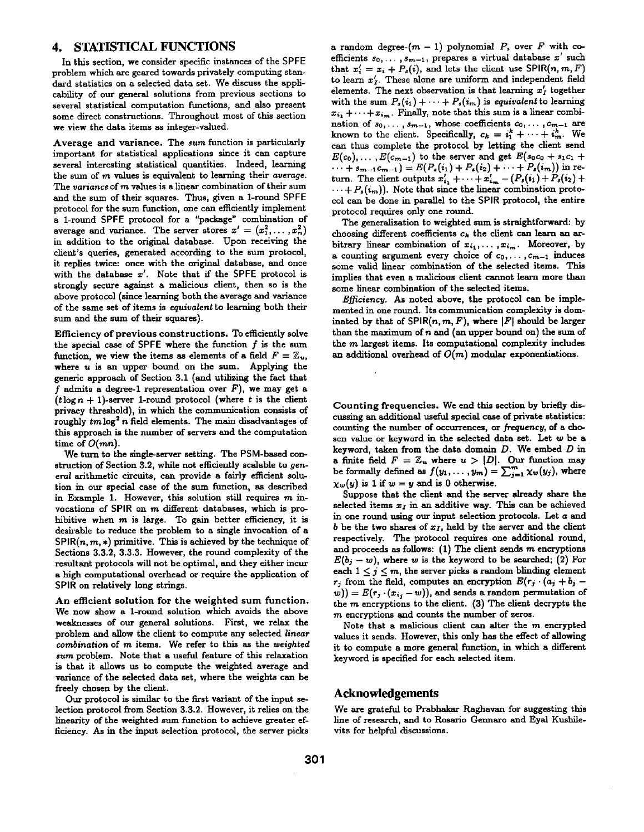## **4.** STATISTICAL FUNCTIONS

In this section, we consider specific instances of the SPFE problem which are geared towards privately computing standard statistics on a selected data set. Wc discuss the applicability of our general solutions from previous sections to several statistical computation functions, and also present some direct constructions. Throughout most of this section we view the data items as integer-valued.

Average and variance. The sum function is particularly important for statistical applications since it can capture several interesting statistical quantities. Indeed, learning the sum of m values is equivalent to learning their *average.*  The *variance* of m values is a linear combination of their sum and the sum of their squares. Thus, given a 1-round SPFE protocol for the sum function, one can efficiently implement a 1-round SPFE protocol for a "package" combination of average and variance. The server stores  $x' = (x_1^2, \ldots, x_n^2)$ in addition to the original database. Upon receiving the client's queries, generated according to the sum protocol, it replies twice: once with the original database, and once with the database  $x'$ . Note that if the SPFE protocol is strongly secure against a malicious client, then so is the above protocol (since learning both the average and variance of the same set of items is *equivalent* to learning both their sum and the sum of their squares).

Efficiency of previous constructions. To efficiently solve the special case of SPFE where the function  $f$  is the sum function, we view the items as elements of a field  $F = \mathbb{Z}_u$ , where  $u$  is an upper bound on the sum. Applying the generic approach of Section 3.1 (and utilizing the fact that f admits a degree-1 representation over  $F$ ), we may get a (tlog  $n + 1$ )-server 1-round protocol (where t is the client privacy threshold), in which the communication consists of roughly  $tm\log^2 n$  field elements. The main disadvantages of this approach is the number of servers and the computation time of *O(mn).* 

We turn to the single-server setting. The PSM-based construction of Section 3.2, while not efficiently scalable to *general* arithmetic circuits, can provide a fairly efficient solution in our special case of the sum function, as described in Example 1. However, this solution still requires m invocations of SPIR on m different databases, which is prohibitive when  $m$  is large. To gain better efficiency, it is desirable to reduce the problem to a single invocation of a  $SPIR(n, m, *)$  primitive. This is achieved by the technique of Sections 3.3.2, 3.3.3. However, the round complexity of the resultant protocols will not be optimal, and they either incur a high computational overhead or require the application of SPIR on relatively long strings.

An efficient solution for the weighted sum function. We now show a 1-round solution which avoids the above weaknesses of our general solutions. First, we relax the problem and allow the client to compute any selected *linear combination* of m items. We refer to this as the *weighted sum* problem. Note that a useful feature of this relaxation is that it allows us to compute the weighted average and variance of the selected data set, where the weights can be freely chosen by the client.

Our protocol is similar to the first variant of the input selection protocol from Section 3.3.2. However, it relies on the linearity of the weighted sum function to achieve greater efficiency. As in the input selection protocol, the server picks a random degree- $(m - 1)$  polynomial  $P_s$  over F with coefficients  $s_0, \ldots, s_{m-1}$ , prepares a virtual database x' such that  $x'_i = x_i + P_s(i)$ , and lets the client use SPIR(n, m, F) to learn  $x'_I$ . These alone are uniform and independent field elements. The next observation is that learning  $x'_{I}$  together with the sum  $P_s(i_1) + \cdots + P_s(i_m)$  is *equivalent* to learning  $x_{i_1} + \cdots + x_{i_m}$ . Finally, note that this sum is a linear combination of  $s_0, \ldots, s_{m-1}$ , whose coefficients  $c_0, \ldots, c_{m-1}$  are known to the client. Specifically,  $c_k = i_1^k + \cdots + i_m^k$ . We can thus complete the protocol by letting the client send  $E(c_0), \ldots, E(c_{m-1})$  to the server and get  $E(s_0c_0 + s_1c_1 +$  $\cdots + s_{m-1}c_{m-1} = E(P_s(i_1) + P_s(i_2) + \cdots + P_s(i_m))$  in return. The client outputs  $x'_{i_1} + \cdots + x'_{i_m} - (P_s(i_1) + P_s(i_2) + \cdots)$  $\cdots + P_s(i_m)$ . Note that since the linear combination protocol can be done in parallel to the SPIR protocol, the entire protocol requires only one round.

The generalization to weighted sum is straightforward: by choosing different coefficients  $c_k$  the client can learn an arbitrary linear combination of  $x_{i_1}, \ldots, x_{i_m}$ . Moreover, by a counting argument every choice of  $c_0, \ldots, c_{m-1}$  induces some valid linear combination of the selected items. This implies that even a malicious client cannot learn more than some linear combination of the selected items.

*Efficiency.* As noted above, the protocol can be implemented in one round. Its communication complexity is dominated by that of SPIR $(n, m, F)$ , where  $|F|$  should be larger than the maximum of  $n$  and (an upper bound on) the sum of the m largest items. Its computational complexity includes an additional overhead of  $O(m)$  modular exponentiations.

Counting frequencies. We end this section by briefly discussing an additional useful special case of private statistics: counting the number of occurrences, or frequency, of a chosen value or keyword in the selected data set. Let  $w$  be a keyword, taken from the data domain  $D$ . We embed  $D$  in a finite field  $F = \mathbb{Z}_u$  where  $u > |D|$ . Our function may be formally defined as  $f(y_1, \ldots, y_m) = \sum_{j=1}^m \chi_w(y_j)$ , where  $\chi_w(y)$  is 1 if  $w = y$  and is 0 otherwise.

Suppose that the client and the server already share the selected items  $x_I$  in an additive way. This can be achieved in one round using our input selection protocols. Let a and  $b$  be the two shares of  $x_I$ , held by the server and the client respectively. The protocol requires one additional round, and proceeds as follows:  $(1)$  The client sends m encryptions  $E(b_i - w)$ , where w is the keyword to be searched; (2) For each  $1 \leq j \leq m$ , the server picks a random blinding element  $r_j$  from the field, computes an encryption  $E(r_j \cdot (a_j + b_j (w)) = E(r_j \cdot (x_{i_j} - w))$ , and sends a random permutation of the m encryptions to the client. (3) The client decrypts the m encryptions and counts the number of zeros.

Note that a malicious client can alter the m encrypted values it sends. However, this only has the effect of allowing it to compute a more general function, in which a different keyword is specified for each selected item.

### Acknowledgements

We are grateful to Prabhakar Raghavan for suggesting this line of research, and to Rosario Gennaro and Eyal Kushilevitz for helpful discussions.